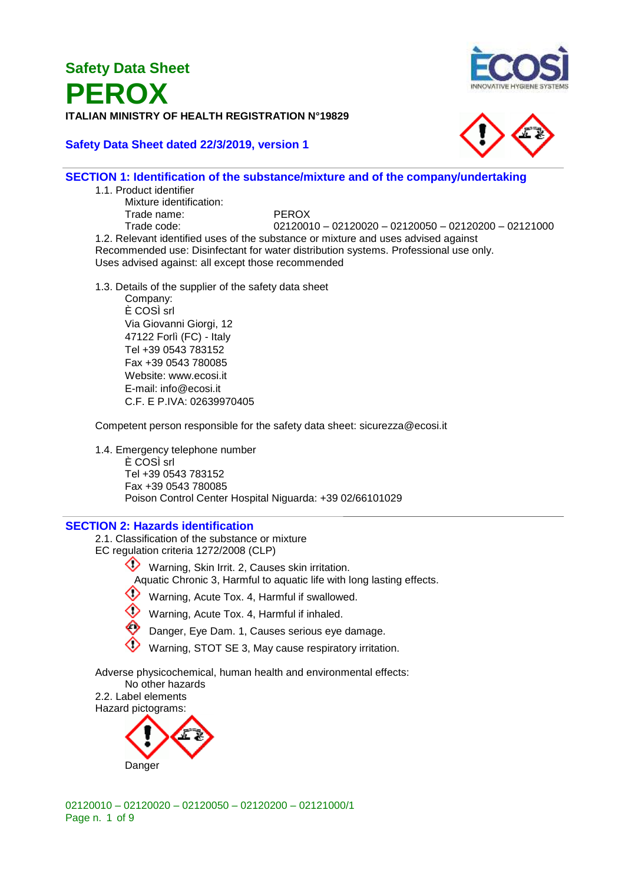## **Safety Data Sheet PEROX ITALIAN MINISTRY OF HEALTH REGISTRATION N°19829**

#### **Safety Data Sheet dated 22/3/2019, version 1**



#### **SECTION 1: Identification of the substance/mixture and of the company/undertaking**

1.1. Product identifier

Mixture identification: Trade name: PEROX

Trade code: 02120010 – 02120020 – 02120050 – 02120200 – 02121000 1.2. Relevant identified uses of the substance or mixture and uses advised against Recommended use: Disinfectant for water distribution systems. Professional use only. Uses advised against: all except those recommended

1.3. Details of the supplier of the safety data sheet

Company: È COSÌ srl Via Giovanni Giorgi, 12 47122 Forlì (FC) - Italy Tel +39 0543 783152 Fax +39 0543 780085 Website: www.ecosi.it E-mail: info@ecosi.it C.F. E P.IVA: 02639970405

Competent person responsible for the safety data sheet: sicurezza@ecosi.it

1.4. Emergency telephone number È COSÌ srl Tel +39 0543 783152 Fax +39 0543 780085 Poison Control Center Hospital Niguarda: +39 02/66101029

#### **SECTION 2: Hazards identification**

- 2.1. Classification of the substance or mixture
- EC regulation criteria 1272/2008 (CLP)
	- Warning, Skin Irrit. 2, Causes skin irritation.
		- Aquatic Chronic 3, Harmful to aquatic life with long lasting effects.



- Warning, Acute Tox. 4, Harmful if inhaled.
- Danger, Eye Dam. 1, Causes serious eye damage.
- Warning, STOT SE 3, May cause respiratory irritation.

Adverse physicochemical, human health and environmental effects:

No other hazards 2.2. Label elements Hazard pictograms:

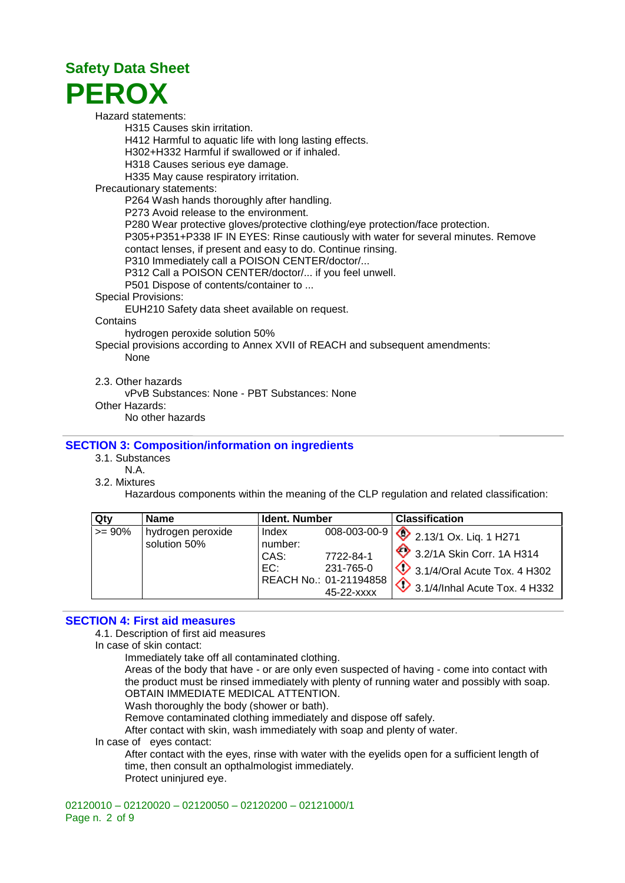

Hazard statements:

H315 Causes skin irritation.

H412 Harmful to aquatic life with long lasting effects.

H302+H332 Harmful if swallowed or if inhaled.

H318 Causes serious eye damage.

H335 May cause respiratory irritation.

Precautionary statements:

P264 Wash hands thoroughly after handling.

P273 Avoid release to the environment.

P280 Wear protective gloves/protective clothing/eye protection/face protection.

P305+P351+P338 IF IN EYES: Rinse cautiously with water for several minutes. Remove contact lenses, if present and easy to do. Continue rinsing.

P310 Immediately call a POISON CENTER/doctor/...

P312 Call a POISON CENTER/doctor/... if you feel unwell.

P501 Dispose of contents/container to ...

Special Provisions:

EUH210 Safety data sheet available on request.

**Contains** 

hydrogen peroxide solution 50%

Special provisions according to Annex XVII of REACH and subsequent amendments: None

2.3. Other hazards

vPvB Substances: None - PBT Substances: None

Other Hazards:

No other hazards

#### **SECTION 3: Composition/information on ingredients**

3.1. Substances

N.A.

3.2. Mixtures

Hazardous components within the meaning of the CLP regulation and related classification:

| Qtv      | <b>Name</b>                       | Ident. Number                   |                                                                                | <b>Classification</b>                                                                                                                              |
|----------|-----------------------------------|---------------------------------|--------------------------------------------------------------------------------|----------------------------------------------------------------------------------------------------------------------------------------------------|
| $>= 90%$ | hydrogen peroxide<br>solution 50% | Index<br>number:<br>CAS:<br>EC: | 008-003-00-9<br>7722-84-1<br>231-765-0<br>REACH No.: 01-21194858<br>45-22-xxxx | $\sqrt{2}$ 2.13/1 Ox. Liq. 1 H271<br>3.2/1A Skin Corr. 1A H314<br>$\sqrt{2}$ 3.1/4/Oral Acute Tox. 4 H302<br>$\oint$ 3.1/4/Inhal Acute Tox. 4 H332 |

#### **SECTION 4: First aid measures**

4.1. Description of first aid measures

In case of skin contact:

Immediately take off all contaminated clothing.

Areas of the body that have - or are only even suspected of having - come into contact with the product must be rinsed immediately with plenty of running water and possibly with soap. OBTAIN IMMEDIATE MEDICAL ATTENTION.

Wash thoroughly the body (shower or bath).

Remove contaminated clothing immediately and dispose off safely.

After contact with skin, wash immediately with soap and plenty of water.

In case of eyes contact:

After contact with the eyes, rinse with water with the eyelids open for a sufficient length of time, then consult an opthalmologist immediately. Protect uninjured eye.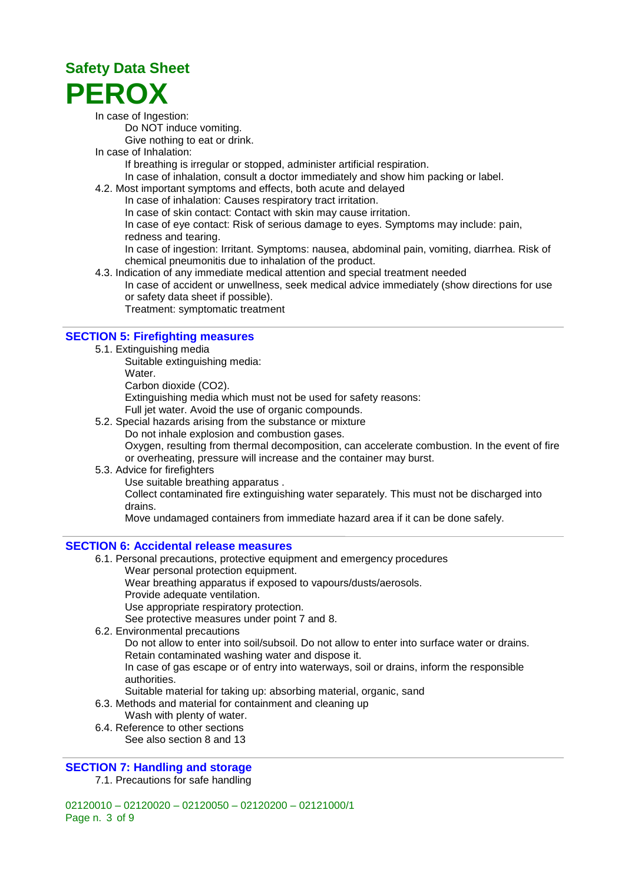In case of Ingestion:

Do NOT induce vomiting.

Give nothing to eat or drink.

In case of Inhalation:

If breathing is irregular or stopped, administer artificial respiration.

- In case of inhalation, consult a doctor immediately and show him packing or label.
- 4.2. Most important symptoms and effects, both acute and delayed
	- In case of inhalation: Causes respiratory tract irritation.

In case of skin contact: Contact with skin may cause irritation.

In case of eye contact: Risk of serious damage to eyes. Symptoms may include: pain,

redness and tearing.

In case of ingestion: Irritant. Symptoms: nausea, abdominal pain, vomiting, diarrhea. Risk of chemical pneumonitis due to inhalation of the product.

4.3. Indication of any immediate medical attention and special treatment needed In case of accident or unwellness, seek medical advice immediately (show directions for use or safety data sheet if possible).

Treatment: symptomatic treatment

#### **SECTION 5: Firefighting measures**

- 5.1. Extinguishing media
	- Suitable extinguishing media:
	- Water.

Carbon dioxide (CO2).

Extinguishing media which must not be used for safety reasons:

- Full jet water. Avoid the use of organic compounds.
- 5.2. Special hazards arising from the substance or mixture
- Do not inhale explosion and combustion gases.

Oxygen, resulting from thermal decomposition, can accelerate combustion. In the event of fire or overheating, pressure will increase and the container may burst.

- 5.3. Advice for firefighters
	- Use suitable breathing apparatus .

Collect contaminated fire extinguishing water separately. This must not be discharged into drains.

Move undamaged containers from immediate hazard area if it can be done safely.

#### **SECTION 6: Accidental release measures**

- 6.1. Personal precautions, protective equipment and emergency procedures
	- Wear personal protection equipment.

Wear breathing apparatus if exposed to vapours/dusts/aerosols.

Provide adequate ventilation.

Use appropriate respiratory protection.

See protective measures under point 7 and 8.

6.2. Environmental precautions

Do not allow to enter into soil/subsoil. Do not allow to enter into surface water or drains. Retain contaminated washing water and dispose it.

In case of gas escape or of entry into waterways, soil or drains, inform the responsible authorities.

Suitable material for taking up: absorbing material, organic, sand

- 6.3. Methods and material for containment and cleaning up
	- Wash with plenty of water.
- 6.4. Reference to other sections
	- See also section 8 and 13

#### **SECTION 7: Handling and storage**

7.1. Precautions for safe handling

02120010 – 02120020 – 02120050 – 02120200 – 02121000/1 Page n. 3 of 9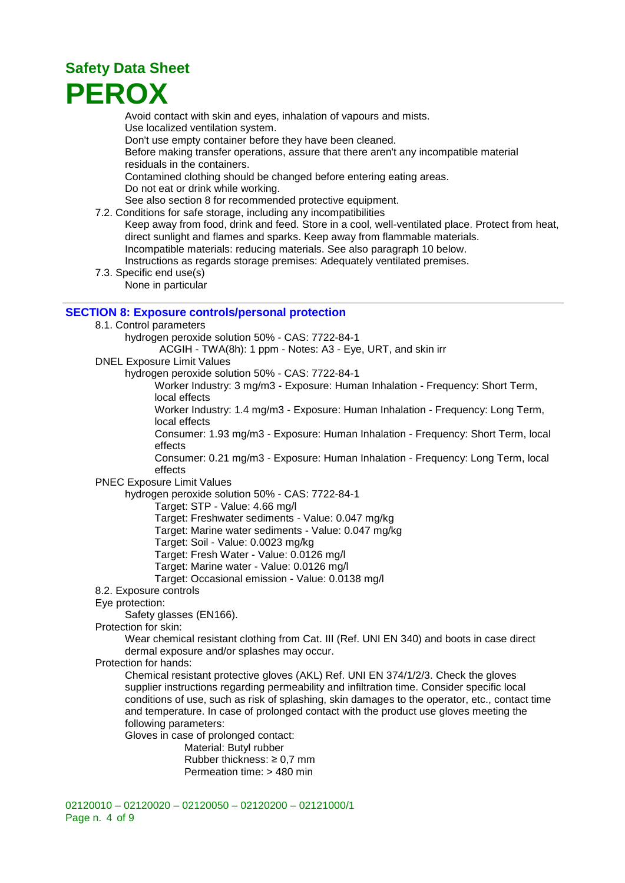Avoid contact with skin and eyes, inhalation of vapours and mists. Use localized ventilation system. Don't use empty container before they have been cleaned. Before making transfer operations, assure that there aren't any incompatible material residuals in the containers. Contamined clothing should be changed before entering eating areas. Do not eat or drink while working. See also section 8 for recommended protective equipment.

- 7.2. Conditions for safe storage, including any incompatibilities
	- Keep away from food, drink and feed. Store in a cool, well-ventilated place. Protect from heat, direct sunlight and flames and sparks. Keep away from flammable materials. Incompatible materials: reducing materials. See also paragraph 10 below. Instructions as regards storage premises: Adequately ventilated premises.
- 7.3. Specific end use(s)
	- None in particular

#### **SECTION 8: Exposure controls/personal protection**

- 8.1. Control parameters
	- hydrogen peroxide solution 50% CAS: 7722-84-1
		- ACGIH TWA(8h): 1 ppm Notes: A3 Eye, URT, and skin irr
- DNEL Exposure Limit Values
	- hydrogen peroxide solution 50% CAS: 7722-84-1
		- Worker Industry: 3 mg/m3 Exposure: Human Inhalation Frequency: Short Term, local effects
		- Worker Industry: 1.4 mg/m3 Exposure: Human Inhalation Frequency: Long Term, local effects
		- Consumer: 1.93 mg/m3 Exposure: Human Inhalation Frequency: Short Term, local effects
		- Consumer: 0.21 mg/m3 Exposure: Human Inhalation Frequency: Long Term, local effects
- PNEC Exposure Limit Values
	- hydrogen peroxide solution 50% CAS: 7722-84-1
		- Target: STP Value: 4.66 mg/l
		- Target: Freshwater sediments Value: 0.047 mg/kg
		- Target: Marine water sediments Value: 0.047 mg/kg
		- Target: Soil Value: 0.0023 mg/kg
		- Target: Fresh Water Value: 0.0126 mg/l
		- Target: Marine water Value: 0.0126 mg/l
		- Target: Occasional emission Value: 0.0138 mg/l
- 8.2. Exposure controls
- Eye protection:
	- Safety glasses (EN166).
- Protection for skin:
	- Wear chemical resistant clothing from Cat. III (Ref. UNI EN 340) and boots in case direct dermal exposure and/or splashes may occur.
- Protection for hands:
	- Chemical resistant protective gloves (AKL) Ref. UNI EN 374/1/2/3. Check the gloves supplier instructions regarding permeability and infiltration time. Consider specific local conditions of use, such as risk of splashing, skin damages to the operator, etc., contact time and temperature. In case of prolonged contact with the product use gloves meeting the following parameters:
	- Gloves in case of prolonged contact:
		- Material: Butyl rubber Rubber thickness: ≥ 0,7 mm
			- Permeation time: > 480 min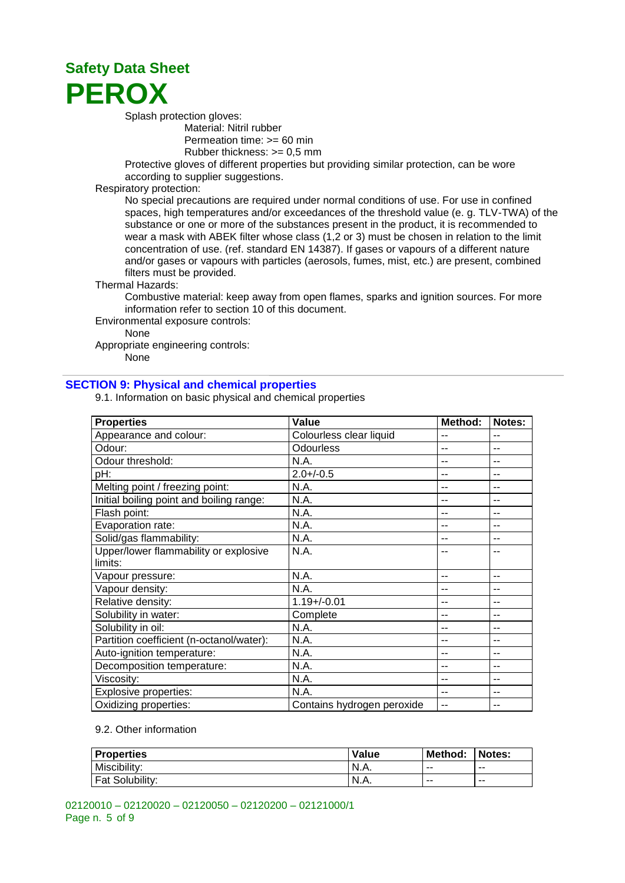

Splash protection gloves:

Material: Nitril rubber Permeation time: >= 60 min Rubber thickness: >= 0,5 mm

Protective gloves of different properties but providing similar protection, can be wore according to supplier suggestions.

#### Respiratory protection:

No special precautions are required under normal conditions of use. For use in confined spaces, high temperatures and/or exceedances of the threshold value (e. g. TLV-TWA) of the substance or one or more of the substances present in the product, it is recommended to wear a mask with ABEK filter whose class (1,2 or 3) must be chosen in relation to the limit concentration of use. (ref. standard EN 14387). If gases or vapours of a different nature and/or gases or vapours with particles (aerosols, fumes, mist, etc.) are present, combined filters must be provided.

#### Thermal Hazards:

Combustive material: keep away from open flames, sparks and ignition sources. For more information refer to section 10 of this document.

Environmental exposure controls:

None

Appropriate engineering controls:

None

#### **SECTION 9: Physical and chemical properties**

9.1. Information on basic physical and chemical properties

| <b>Properties</b>                        | Value                      | Method: | Notes: |
|------------------------------------------|----------------------------|---------|--------|
| Appearance and colour:                   | Colourless clear liquid    | --      | $-$    |
| Odour:                                   | <b>Odourless</b>           | --      | --     |
| Odour threshold:                         | N.A.                       |         | --     |
| pH:                                      | $2.0 + (-0.5)$             | $-$     | --     |
| Melting point / freezing point:          | N.A.                       | $-$     | --     |
| Initial boiling point and boiling range: | N.A.                       | $-$     | --     |
| Flash point:                             | N.A.                       | $-$     | --     |
| Evaporation rate:                        | N.A.                       | $ -$    | --     |
| Solid/gas flammability:                  | N.A.                       | --      | --     |
| Upper/lower flammability or explosive    | N.A.                       | --      | --     |
| limits:                                  |                            |         |        |
| Vapour pressure:                         | N.A.                       | --      | --     |
| Vapour density:                          | N.A.                       |         | --     |
| Relative density:                        | $1.19 + / -0.01$           | --      | --     |
| Solubility in water:                     | Complete                   | --      | --     |
| Solubility in oil:                       | N.A.                       | --      | --     |
| Partition coefficient (n-octanol/water): | N.A.                       | $-$     | --     |
| Auto-ignition temperature:               | N.A.                       | $-$     | --     |
| Decomposition temperature:               | N.A.                       | $-$     | --     |
| Viscosity:                               | N.A.                       | --      | --     |
| Explosive properties:                    | N.A.                       |         | --     |
| Oxidizing properties:                    | Contains hydrogen peroxide |         | --     |

#### 9.2. Other information

| <b>Properties</b>      | Value | Method: | Notes: |
|------------------------|-------|---------|--------|
| Miscibility:           | N.A.  | $- -$   | $- -$  |
| <b>Fat Solubility:</b> | N.A.  | $- -$   | $- -$  |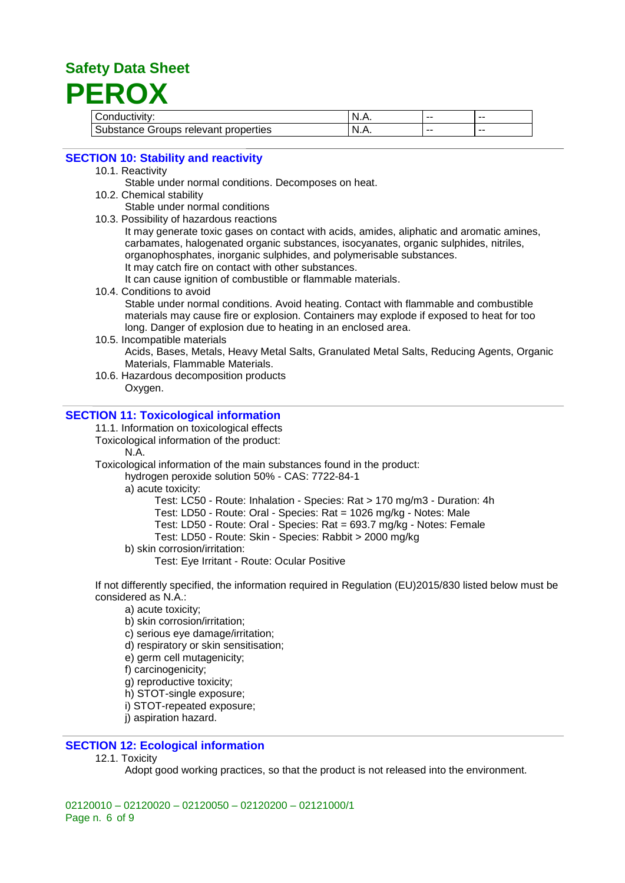| Conductivity:                        | N | $- -$ | -- |
|--------------------------------------|---|-------|----|
| Substance Groups relevant properties | N | $- -$ | -- |

#### **SECTION 10: Stability and reactivity**

- 10.1. Reactivity
	- Stable under normal conditions. Decomposes on heat.
- 10.2. Chemical stability
	- Stable under normal conditions
- 10.3. Possibility of hazardous reactions

It may generate toxic gases on contact with acids, amides, aliphatic and aromatic amines, carbamates, halogenated organic substances, isocyanates, organic sulphides, nitriles, organophosphates, inorganic sulphides, and polymerisable substances. It may catch fire on contact with other substances.

It can cause ignition of combustible or flammable materials.

- 10.4. Conditions to avoid Stable under normal conditions. Avoid heating. Contact with flammable and combustible materials may cause fire or explosion. Containers may explode if exposed to heat for too long. Danger of explosion due to heating in an enclosed area.
- 10.5. Incompatible materials Acids, Bases, Metals, Heavy Metal Salts, Granulated Metal Salts, Reducing Agents, Organic Materials, Flammable Materials.
- 10.6. Hazardous decomposition products Oxygen.

#### **SECTION 11: Toxicological information**

11.1. Information on toxicological effects

Toxicological information of the product:

N.A.

Toxicological information of the main substances found in the product:

hydrogen peroxide solution 50% - CAS: 7722-84-1

a) acute toxicity:

Test: LC50 - Route: Inhalation - Species: Rat > 170 mg/m3 - Duration: 4h

Test: LD50 - Route: Oral - Species: Rat = 1026 mg/kg - Notes: Male

Test: LD50 - Route: Oral - Species: Rat = 693.7 mg/kg - Notes: Female

Test: LD50 - Route: Skin - Species: Rabbit > 2000 mg/kg

b) skin corrosion/irritation:

Test: Eye Irritant - Route: Ocular Positive

If not differently specified, the information required in Regulation (EU)2015/830 listed below must be considered as N.A.:

a) acute toxicity;

- b) skin corrosion/irritation;
- c) serious eye damage/irritation;
- d) respiratory or skin sensitisation;
- e) germ cell mutagenicity;
- f) carcinogenicity;
- g) reproductive toxicity;
- h) STOT-single exposure;
- i) STOT-repeated exposure;
- i) aspiration hazard.

#### **SECTION 12: Ecological information**

12.1. Toxicity

Adopt good working practices, so that the product is not released into the environment.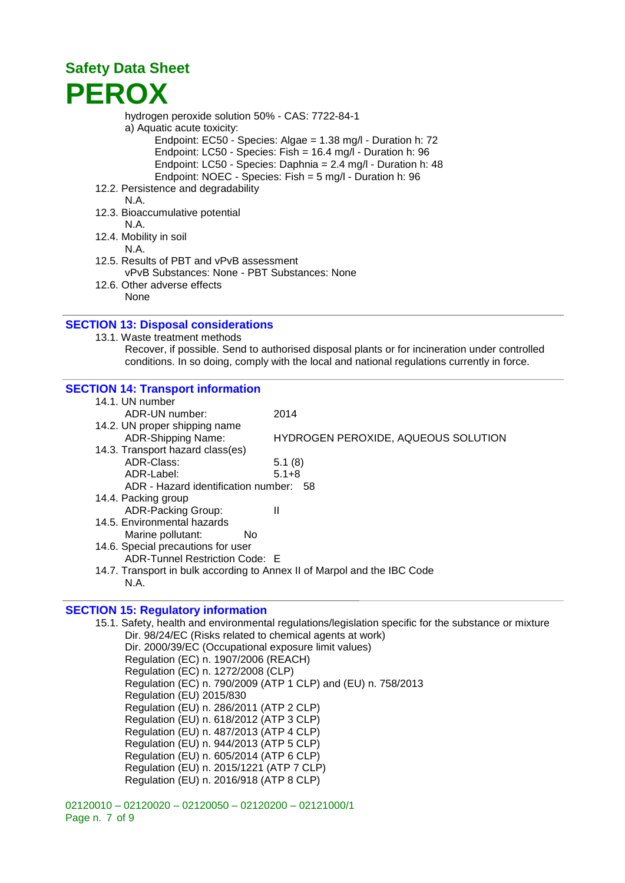hydrogen peroxide solution 50% - CAS: 7722-84-1

- a) Aquatic acute toxicity:
	- Endpoint: EC50 Species: Algae = 1.38 mg/l Duration h: 72 Endpoint: LC50 - Species: Fish = 16.4 mg/l - Duration h: 96 Endpoint: LC50 - Species: Daphnia = 2.4 mg/l - Duration h: 48 Endpoint: NOEC - Species: Fish = 5 mg/l - Duration h: 96
- 12.2. Persistence and degradability
	- N.A.
- 12.3. Bioaccumulative potential
	- N.A.
- 12.4. Mobility in soil
- N.A. 12.5. Results of PBT and vPvB assessment
- vPvB Substances: None PBT Substances: None
- 12.6. Other adverse effects None

#### **SECTION 13: Disposal considerations**

- 13.1. Waste treatment methods
	- Recover, if possible. Send to authorised disposal plants or for incineration under controlled conditions. In so doing, comply with the local and national regulations currently in force.

#### **SECTION 14: Transport information**

| 14.1. UN number                                                          |                                     |  |  |  |
|--------------------------------------------------------------------------|-------------------------------------|--|--|--|
| ADR-UN number:                                                           | 2014                                |  |  |  |
| 14.2. UN proper shipping name                                            |                                     |  |  |  |
| ADR-Shipping Name:                                                       | HYDROGEN PEROXIDE, AQUEOUS SOLUTION |  |  |  |
| 14.3. Transport hazard class(es)                                         |                                     |  |  |  |
| ADR-Class:                                                               | 5.1(8)                              |  |  |  |
| ADR-Label:                                                               | $5.1 + 8$                           |  |  |  |
| ADR - Hazard identification number: 58                                   |                                     |  |  |  |
| 14.4. Packing group                                                      |                                     |  |  |  |
| ADR-Packing Group:                                                       | Ш                                   |  |  |  |
| 14.5. Environmental hazards                                              |                                     |  |  |  |
| Marine pollutant:<br>No.                                                 |                                     |  |  |  |
| 14.6. Special precautions for user                                       |                                     |  |  |  |
| ADR-Tunnel Restriction Code: E                                           |                                     |  |  |  |
| 14.7. Transport in bulk according to Annex II of Marpol and the IBC Code |                                     |  |  |  |
| N.A.                                                                     |                                     |  |  |  |

#### **SECTION 15: Regulatory information**

15.1. Safety, health and environmental regulations/legislation specific for the substance or mixture Dir. 98/24/EC (Risks related to chemical agents at work) Dir. 2000/39/EC (Occupational exposure limit values) Regulation (EC) n. 1907/2006 (REACH) Regulation (EC) n. 1272/2008 (CLP) Regulation (EC) n. 790/2009 (ATP 1 CLP) and (EU) n. 758/2013 Regulation (EU) 2015/830 Regulation (EU) n. 286/2011 (ATP 2 CLP) Regulation (EU) n. 618/2012 (ATP 3 CLP) Regulation (EU) n. 487/2013 (ATP 4 CLP) Regulation (EU) n. 944/2013 (ATP 5 CLP) Regulation (EU) n. 605/2014 (ATP 6 CLP) Regulation (EU) n. 2015/1221 (ATP 7 CLP) Regulation (EU) n. 2016/918 (ATP 8 CLP)

02120010 – 02120020 – 02120050 – 02120200 – 02121000/1 Page n. 7 of 9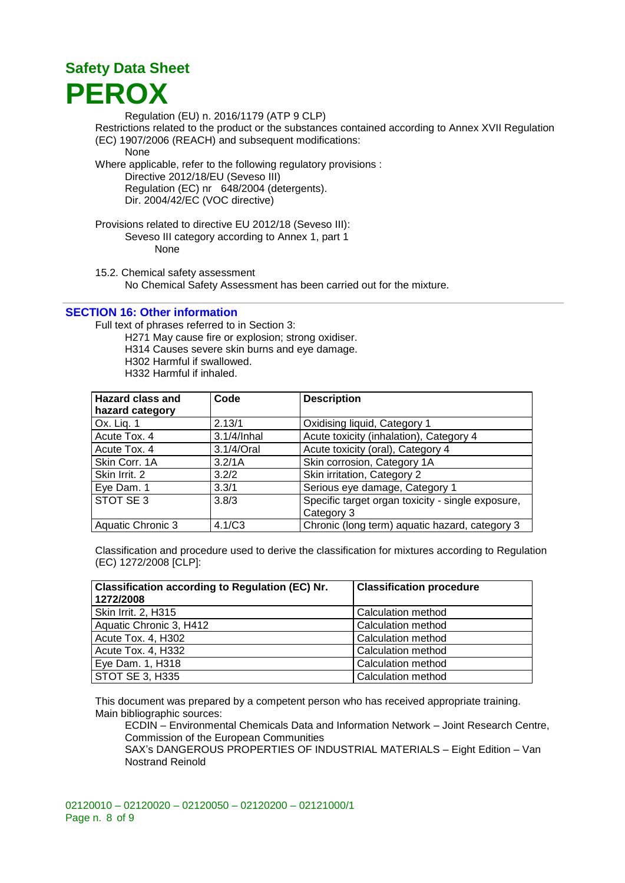Regulation (EU) n. 2016/1179 (ATP 9 CLP) Restrictions related to the product or the substances contained according to Annex XVII Regulation (EC) 1907/2006 (REACH) and subsequent modifications: None Where applicable, refer to the following regulatory provisions : Directive 2012/18/EU (Seveso III) Regulation (EC) nr 648/2004 (detergents).

Dir. 2004/42/EC (VOC directive)

Provisions related to directive EU 2012/18 (Seveso III): Seveso III category according to Annex 1, part 1 None

15.2. Chemical safety assessment No Chemical Safety Assessment has been carried out for the mixture.

#### **SECTION 16: Other information**

Full text of phrases referred to in Section 3:

H271 May cause fire or explosion; strong oxidiser.

H314 Causes severe skin burns and eye damage.

H302 Harmful if swallowed.

H332 Harmful if inhaled.

| <b>Hazard class and</b>  | Code        | <b>Description</b>                                |
|--------------------------|-------------|---------------------------------------------------|
| hazard category          |             |                                                   |
| Ox. Lig. 1               | 2.13/1      | Oxidising liquid, Category 1                      |
| Acute Tox. 4             | 3.1/4/Inhal | Acute toxicity (inhalation), Category 4           |
| Acute Tox. 4             | 3.1/4/Oral  | Acute toxicity (oral), Category 4                 |
| Skin Corr. 1A            | 3.2/1A      | Skin corrosion, Category 1A                       |
| Skin Irrit. 2            | 3.2/2       | Skin irritation, Category 2                       |
| Eye Dam. 1               | 3.3/1       | Serious eye damage, Category 1                    |
| STOT SE 3                | 3.8/3       | Specific target organ toxicity - single exposure, |
|                          |             | Category 3                                        |
| <b>Aquatic Chronic 3</b> | 4.1/C3      | Chronic (long term) aquatic hazard, category 3    |

Classification and procedure used to derive the classification for mixtures according to Regulation (EC) 1272/2008 [CLP]:

| <b>Classification according to Regulation (EC) Nr.</b><br>1272/2008 | <b>Classification procedure</b> |
|---------------------------------------------------------------------|---------------------------------|
| Skin Irrit. 2, H315                                                 | Calculation method              |
| Aquatic Chronic 3, H412                                             | Calculation method              |
| Acute Tox. 4, H302                                                  | Calculation method              |
| Acute Tox. 4, H332                                                  | Calculation method              |
| Eye Dam. 1, H318                                                    | Calculation method              |
| STOT SE 3, H335                                                     | Calculation method              |

This document was prepared by a competent person who has received appropriate training. Main bibliographic sources:

ECDIN – Environmental Chemicals Data and Information Network – Joint Research Centre, Commission of the European Communities

SAX's DANGEROUS PROPERTIES OF INDUSTRIAL MATERIALS – Eight Edition – Van Nostrand Reinold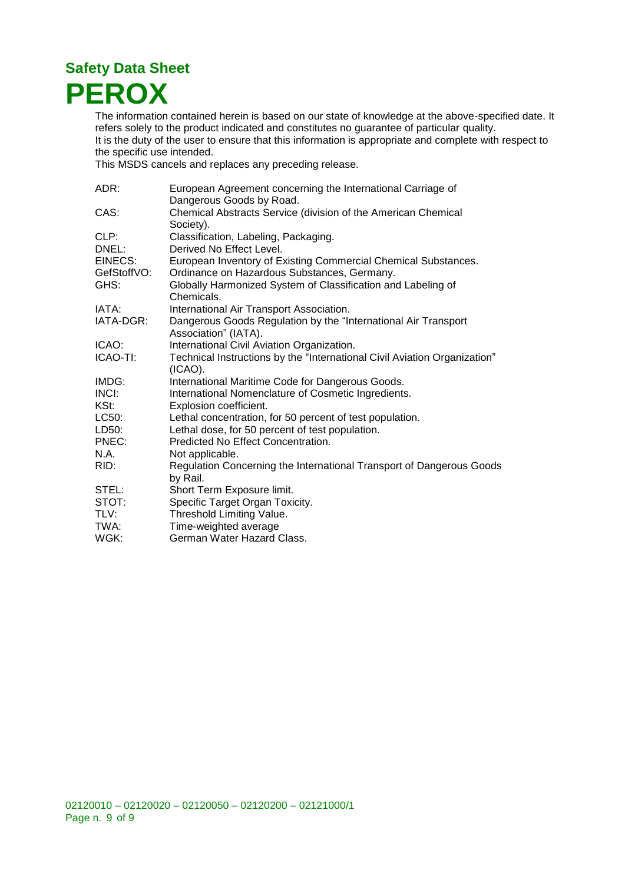

The information contained herein is based on our state of knowledge at the above-specified date. It refers solely to the product indicated and constitutes no guarantee of particular quality. It is the duty of the user to ensure that this information is appropriate and complete with respect to the specific use intended.

This MSDS cancels and replaces any preceding release.

| ADR:        | European Agreement concerning the International Carriage of                             |
|-------------|-----------------------------------------------------------------------------------------|
|             | Dangerous Goods by Road.                                                                |
| CAS:        | Chemical Abstracts Service (division of the American Chemical<br>Society).              |
| CLP:        | Classification, Labeling, Packaging.                                                    |
| DNEL:       | Derived No Effect Level.                                                                |
| EINECS:     | European Inventory of Existing Commercial Chemical Substances.                          |
| GefStoffVO: | Ordinance on Hazardous Substances, Germany.                                             |
| GHS:        | Globally Harmonized System of Classification and Labeling of<br>Chemicals.              |
| IATA:       | International Air Transport Association.                                                |
| IATA-DGR:   | Dangerous Goods Regulation by the "International Air Transport<br>Association" (IATA).  |
| ICAO:       | International Civil Aviation Organization.                                              |
| ICAO-TI:    | Technical Instructions by the "International Civil Aviation Organization"<br>$(ICAO)$ . |
| IMDG:       | International Maritime Code for Dangerous Goods.                                        |
| INCI:       | International Nomenclature of Cosmetic Ingredients.                                     |
| KSt:        | Explosion coefficient.                                                                  |
| LC50:       | Lethal concentration, for 50 percent of test population.                                |
| LD50:       | Lethal dose, for 50 percent of test population.                                         |
| PNEC:       | Predicted No Effect Concentration.                                                      |
| N.A.        | Not applicable.                                                                         |
| RID:        | Regulation Concerning the International Transport of Dangerous Goods<br>by Rail.        |
| STEL:       | Short Term Exposure limit.                                                              |
| STOT:       | Specific Target Organ Toxicity.                                                         |
| TLV:        | Threshold Limiting Value.                                                               |
| TWA:        | Time-weighted average                                                                   |
| WGK:        | German Water Hazard Class.                                                              |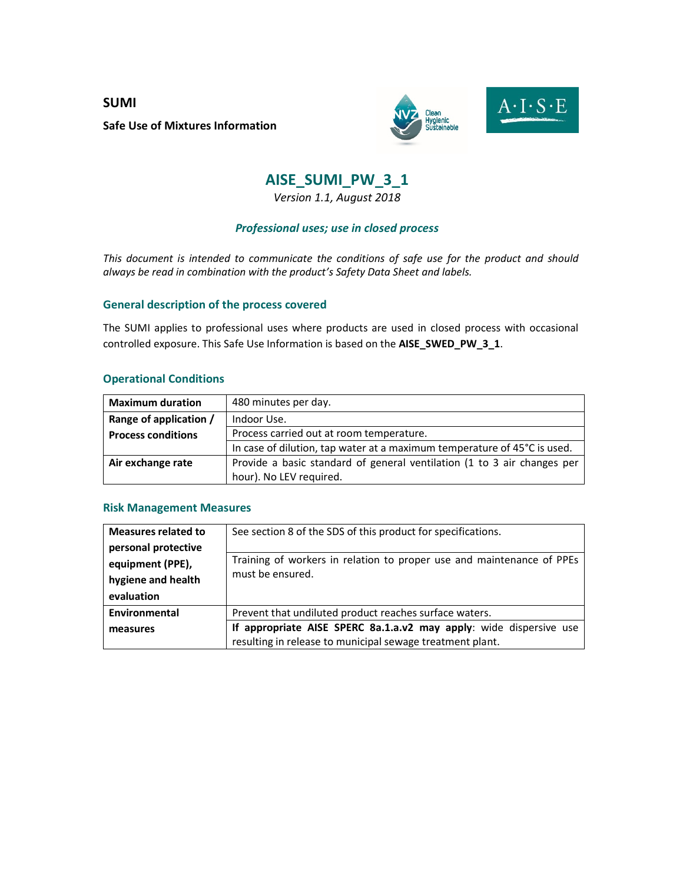**SUMI Safe Use of Mixtures Information** 



### **AISE\_SUMI\_PW\_3\_1**

*Version 1.1, August 2018* 

#### *Professional uses; use in closed process*

*This document is intended to communicate the conditions of safe use for the product and should always be read in combination with the product's Safety Data Sheet and labels.* 

#### **General description of the process covered**

The SUMI applies to professional uses where products are used in closed process with occasional controlled exposure. This Safe Use Information is based on the **AISE\_SWED\_PW\_3\_1**.

#### **Operational Conditions**

| <b>Maximum duration</b>                                               | 480 minutes per day.                                                     |  |
|-----------------------------------------------------------------------|--------------------------------------------------------------------------|--|
| Range of application /<br>Indoor Use.                                 |                                                                          |  |
| Process carried out at room temperature.<br><b>Process conditions</b> |                                                                          |  |
|                                                                       | In case of dilution, tap water at a maximum temperature of 45°C is used. |  |
| Air exchange rate                                                     | Provide a basic standard of general ventilation (1 to 3 air changes per  |  |
|                                                                       | hour). No LEV required.                                                  |  |

#### **Risk Management Measures**

| <b>Measures related to</b>                                    | See section 8 of the SDS of this product for specifications.                                                                    |  |
|---------------------------------------------------------------|---------------------------------------------------------------------------------------------------------------------------------|--|
| personal protective<br>equipment (PPE),<br>hygiene and health | Training of workers in relation to proper use and maintenance of PPEs<br>must be ensured.                                       |  |
| evaluation                                                    |                                                                                                                                 |  |
| Environmental                                                 | Prevent that undiluted product reaches surface waters.                                                                          |  |
| measures                                                      | If appropriate AISE SPERC 8a.1.a.v2 may apply: wide dispersive use<br>resulting in release to municipal sewage treatment plant. |  |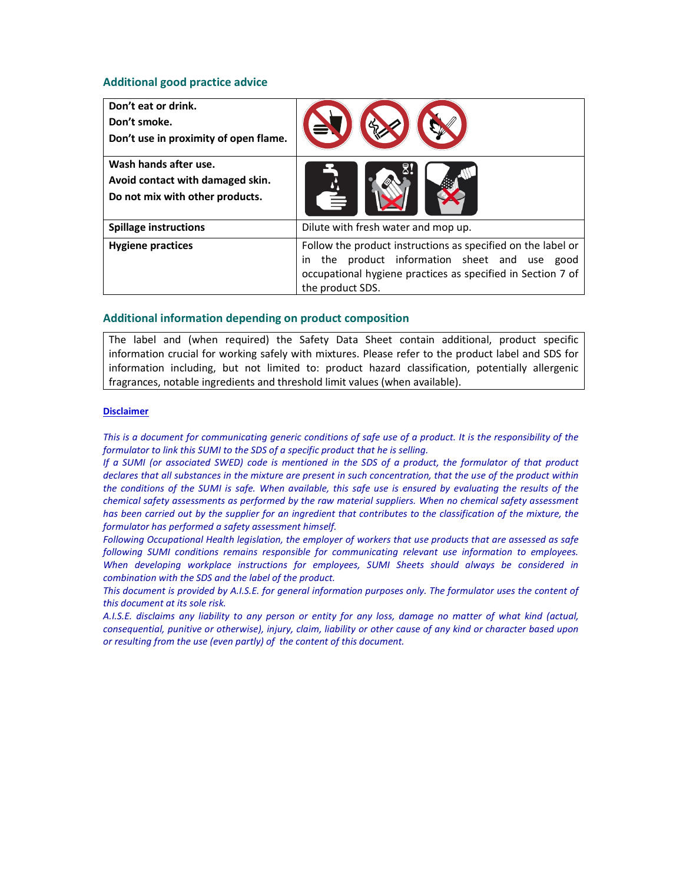#### **Additional good practice advice**

| Don't eat or drink.<br>Don't smoke.<br>Don't use in proximity of open flame.                 |                                                                                                                                                                                                      |
|----------------------------------------------------------------------------------------------|------------------------------------------------------------------------------------------------------------------------------------------------------------------------------------------------------|
| Wash hands after use.<br>Avoid contact with damaged skin.<br>Do not mix with other products. |                                                                                                                                                                                                      |
| <b>Spillage instructions</b>                                                                 | Dilute with fresh water and mop up.                                                                                                                                                                  |
| <b>Hygiene practices</b>                                                                     | Follow the product instructions as specified on the label or<br>the product information sheet and use good<br>in.<br>occupational hygiene practices as specified in Section 7 of<br>the product SDS. |

#### **Additional information depending on product composition**

The label and (when required) the Safety Data Sheet contain additional, product specific information crucial for working safely with mixtures. Please refer to the product label and SDS for information including, but not limited to: product hazard classification, potentially allergenic fragrances, notable ingredients and threshold limit values (when available).

#### **Disclaimer**

*This is a document for communicating generic conditions of safe use of a product. It is the responsibility of the formulator to link this SUMI to the SDS of a specific product that he is selling.* 

*If a SUMI (or associated SWED) code is mentioned in the SDS of a product, the formulator of that product declares that all substances in the mixture are present in such concentration, that the use of the product within the conditions of the SUMI is safe. When available, this safe use is ensured by evaluating the results of the chemical safety assessments as performed by the raw material suppliers. When no chemical safety assessment has been carried out by the supplier for an ingredient that contributes to the classification of the mixture, the formulator has performed a safety assessment himself.* 

*Following Occupational Health legislation, the employer of workers that use products that are assessed as safe following SUMI conditions remains responsible for communicating relevant use information to employees. When developing workplace instructions for employees, SUMI Sheets should always be considered in combination with the SDS and the label of the product.* 

*This document is provided by A.I.S.E. for general information purposes only. The formulator uses the content of this document at its sole risk.* 

*A.I.S.E. disclaims any liability to any person or entity for any loss, damage no matter of what kind (actual, consequential, punitive or otherwise), injury, claim, liability or other cause of any kind or character based upon or resulting from the use (even partly) of the content of this document.*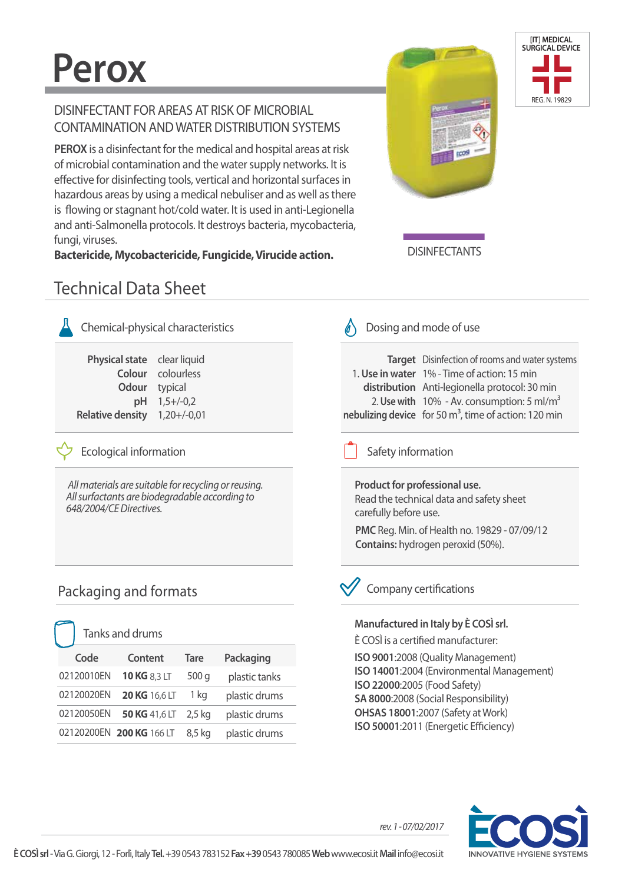# **Perox**

### DISINFECTANT FOR AREAS AT RISK OF MICROBIAL CONTAMINATION AND WATER DISTRIBUTION SYSTEMS

**PEROX** is a disinfectant for the medical and hospital areas at risk of microbial contamination and the water supply networks. It is effective for disinfecting tools, vertical and horizontal surfaces in hazardous areas by using a medical nebuliser and as well as there is flowing or stagnant hot/cold water. It is used in anti-Legionella and anti-Salmonella protocols. It destroys bacteria, mycobacteria, fungi, viruses.

**Bactericide, Mycobactericide, Fungicide, Virucide action.**





**DISINFECTANTS** 

## Technical Data Sheet

| Chemical-physical characteris |               |  |
|-------------------------------|---------------|--|
| <b>Physical state</b>         | clear liquid  |  |
| Colour                        | colourless    |  |
| Odour                         | typical       |  |
| рH                            | $1,5+/-0,2$   |  |
| <b>Relative density</b>       | $1,20+/-0,01$ |  |

Ecological information Safety information

 *All materials are suitable for recycling or reusing. All surfactants are biodegradable according to 648/2004/CE Directives.*

## Packaging and formats

|            | Tanks and drums          |          |               |
|------------|--------------------------|----------|---------------|
| Code       | Content                  | Tare     | Packaging     |
| 02120010EN | <b>10 KG 8,3 LT</b>      | 500 g    | plastic tanks |
| 02120020EN | <b>20 KG 16,6 LT</b>     | 1 kg     | plastic drums |
| 02120050EN | 50 KG 41,6 LT            | $2,5$ kg | plastic drums |
|            | 02120200EN 200 KG 166 LT | 8,5 kg   | plastic drums |

### tics  $\bigotimes$  Dosing and mode of use

| Target Disinfection of rooms and water systems            |
|-----------------------------------------------------------|
| 1. Use in water 1% - Time of action: 15 min               |
| distribution Anti-legionella protocol: 30 min             |
| 2. Use with $10\%$ - Av. consumption: 5 ml/m <sup>3</sup> |
| nebulizing device for 50 $m3$ , time of action: 120 min   |

**Product for professional use.** Read the technical data and safety sheet carefully before use. **PMC** Reg. Min. of Health no. 19829 - 07/09/12 **Contains:** hydrogen peroxid (50%).

## Company certifications

### **Manufactured in Italy by È COSÌ srl.**

È COSÌ is a certified manufacturer: **ISO 9001**:2008 (Quality Management) **ISO 14001**:2004 (Environmental Management) **ISO 22000**:2005 (Food Safety) **SA 8000**:2008 (Social Responsibility) **OHSAS 18001**:2007 (Safety at Work) **ISO 50001:2011 (Energetic Efficiency)** 



*rev. 1 - 07/02/2017*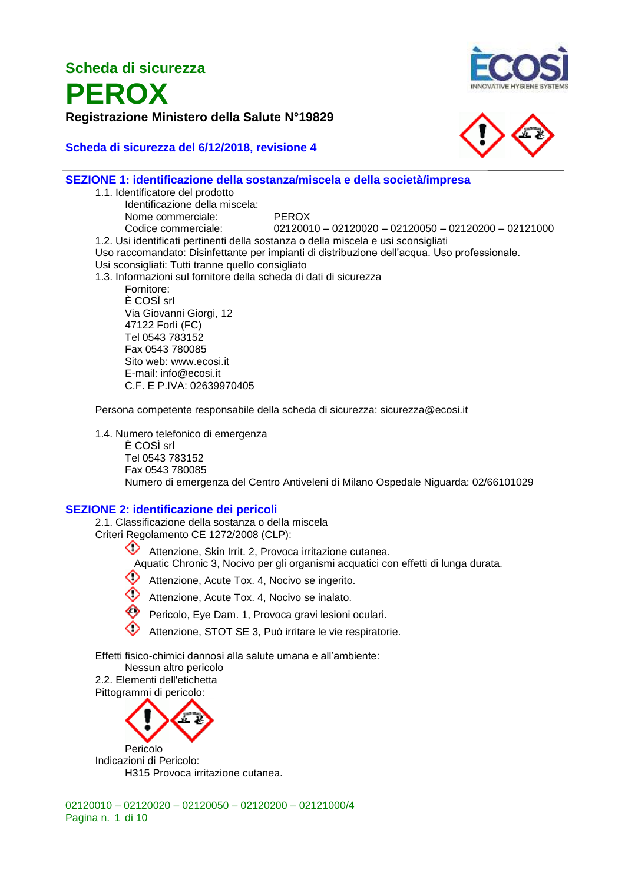**PEROX Registrazione Ministero della Salute N°19829**







#### **SEZIONE 1: identificazione della sostanza/miscela e della società/impresa** 1.1. Identificatore del prodotto

Identificazione della miscela: Nome commerciale: PEROX Codice commerciale: 02120010 – 02120020 – 02120050 – 02120200 – 02121000 1.2. Usi identificati pertinenti della sostanza o della miscela e usi sconsigliati Uso raccomandato: Disinfettante per impianti di distribuzione dell'acqua. Uso professionale. Usi sconsigliati: Tutti tranne quello consigliato 1.3. Informazioni sul fornitore della scheda di dati di sicurezza Fornitore: È COSÌ srl Via Giovanni Giorgi, 12 47122 Forlì (FC) Tel 0543 783152 Fax 0543 780085 Sito web: www.ecosi.it E-mail: info@ecosi.it C.F. E P.IVA: 02639970405

Persona competente responsabile della scheda di sicurezza: sicurezza@ecosi.it

1.4. Numero telefonico di emergenza

È COSÌ srl Tel 0543 783152 Fax 0543 780085 Numero di emergenza del Centro Antiveleni di Milano Ospedale Niguarda: 02/66101029

#### **SEZIONE 2: identificazione dei pericoli**

2.1. Classificazione della sostanza o della miscela Criteri Regolamento CE 1272/2008 (CLP):

> Attenzione, Skin Irrit. 2, Provoca irritazione cutanea. Aquatic Chronic 3, Nocivo per gli organismi acquatici con effetti di lunga durata.

Attenzione, Acute Tox. 4, Nocivo se ingerito.

- Attenzione, Acute Tox. 4, Nocivo se inalato.
- Pericolo, Eye Dam. 1, Provoca gravi lesioni oculari.
- Attenzione, STOT SE 3, Può irritare le vie respiratorie.

Effetti fisico-chimici dannosi alla salute umana e all'ambiente:

Nessun altro pericolo

2.2. Elementi dell'etichetta Pittogrammi di pericolo:



Indicazioni di Pericolo: H315 Provoca irritazione cutanea.

02120010 – 02120020 – 02120050 – 02120200 – 02121000/4 Pagina n. 1 di 10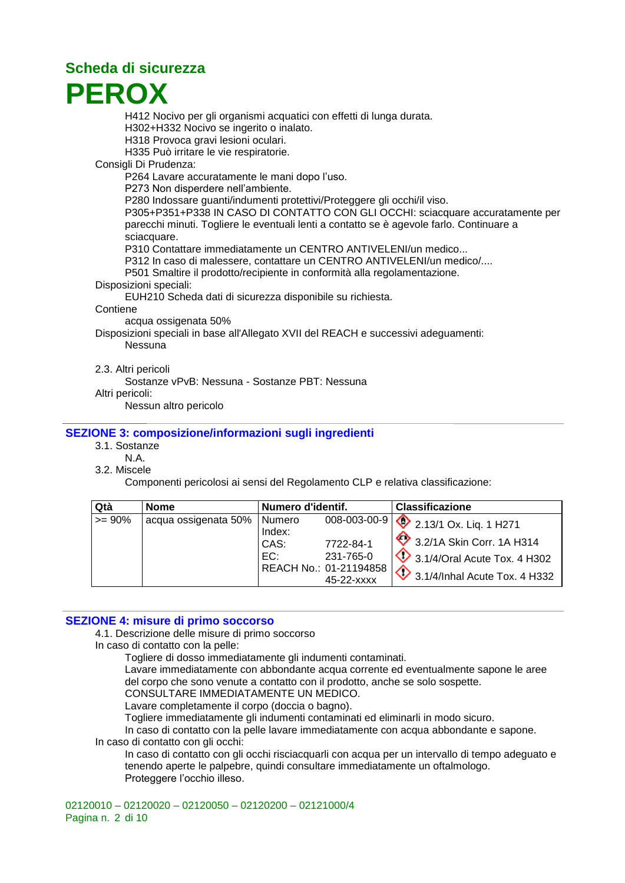

H412 Nocivo per gli organismi acquatici con effetti di lunga durata.

H302+H332 Nocivo se ingerito o inalato.

H318 Provoca gravi lesioni oculari.

H335 Può irritare le vie respiratorie.

#### Consigli Di Prudenza:

P264 Lavare accuratamente le mani dopo l'uso.

P273 Non disperdere nell'ambiente.

P280 Indossare guanti/indumenti protettivi/Proteggere gli occhi/il viso.

P305+P351+P338 IN CASO DI CONTATTO CON GLI OCCHI: sciacquare accuratamente per parecchi minuti. Togliere le eventuali lenti a contatto se è agevole farlo. Continuare a sciacquare.

P310 Contattare immediatamente un CENTRO ANTIVELENI/un medico...

P312 In caso di malessere, contattare un CENTRO ANTIVELENI/un medico/....

P501 Smaltire il prodotto/recipiente in conformità alla regolamentazione.

Disposizioni speciali:

EUH210 Scheda dati di sicurezza disponibile su richiesta.

#### **Contiene**

acqua ossigenata 50%

Disposizioni speciali in base all'Allegato XVII del REACH e successivi adeguamenti: Nessuna

2.3. Altri pericoli

Sostanze vPvB: Nessuna - Sostanze PBT: Nessuna

Altri pericoli:

Nessun altro pericolo

#### **SEZIONE 3: composizione/informazioni sugli ingredienti**

- 3.1. Sostanze
- N.A.

3.2. Miscele

Componenti pericolosi ai sensi del Regolamento CLP e relativa classificazione:

| Qtà       | <b>Nome</b>          | Numero d'identif.               |                                                                                | <b>Classificazione</b>                                                                                                                               |
|-----------|----------------------|---------------------------------|--------------------------------------------------------------------------------|------------------------------------------------------------------------------------------------------------------------------------------------------|
| $>= 90\%$ | acqua ossigenata 50% | Numero<br>Index:<br>CAS:<br>EC: | 008-003-00-9<br>7722-84-1<br>231-765-0<br>REACH No.: 01-21194858<br>45-22-xxxx | $\bigotimes$ 2.13/1 Ox. Liq. 1 H271<br>3.2/1A Skin Corr. 1A H314<br>$\sqrt{2}$ 3.1/4/Oral Acute Tox. 4 H302<br>$\oint$ 3.1/4/Inhal Acute Tox. 4 H332 |

#### **SEZIONE 4: misure di primo soccorso**

4.1. Descrizione delle misure di primo soccorso

In caso di contatto con la pelle:

Togliere di dosso immediatamente gli indumenti contaminati.

Lavare immediatamente con abbondante acqua corrente ed eventualmente sapone le aree del corpo che sono venute a contatto con il prodotto, anche se solo sospette.

CONSULTARE IMMEDIATAMENTE UN MEDICO.

Lavare completamente il corpo (doccia o bagno).

Togliere immediatamente gli indumenti contaminati ed eliminarli in modo sicuro.

In caso di contatto con la pelle lavare immediatamente con acqua abbondante e sapone. In caso di contatto con gli occhi:

In caso di contatto con gli occhi risciacquarli con acqua per un intervallo di tempo adeguato e tenendo aperte le palpebre, quindi consultare immediatamente un oftalmologo. Proteggere l'occhio illeso.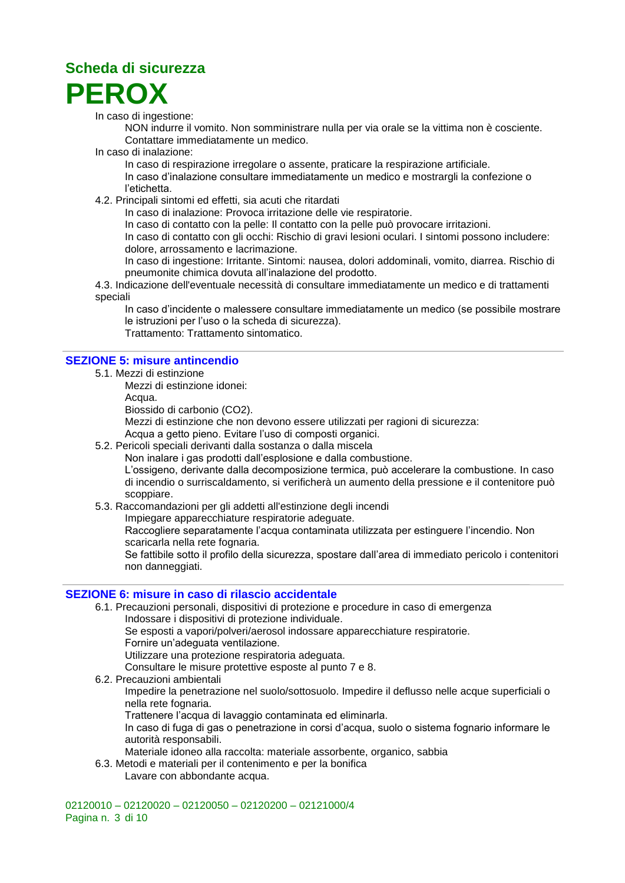

In caso di ingestione:

NON indurre il vomito. Non somministrare nulla per via orale se la vittima non è cosciente. Contattare immediatamente un medico.

In caso di inalazione:

In caso di respirazione irregolare o assente, praticare la respirazione artificiale.

In caso d'inalazione consultare immediatamente un medico e mostrargli la confezione o l'etichetta.

4.2. Principali sintomi ed effetti, sia acuti che ritardati

In caso di inalazione: Provoca irritazione delle vie respiratorie.

In caso di contatto con la pelle: Il contatto con la pelle può provocare irritazioni.

In caso di contatto con gli occhi: Rischio di gravi lesioni oculari. I sintomi possono includere: dolore, arrossamento e lacrimazione.

In caso di ingestione: Irritante. Sintomi: nausea, dolori addominali, vomito, diarrea. Rischio di pneumonite chimica dovuta all'inalazione del prodotto.

4.3. Indicazione dell'eventuale necessità di consultare immediatamente un medico e di trattamenti speciali

In caso d'incidente o malessere consultare immediatamente un medico (se possibile mostrare le istruzioni per l'uso o la scheda di sicurezza).

Trattamento: Trattamento sintomatico.

#### **SEZIONE 5: misure antincendio**

5.1. Mezzi di estinzione

Mezzi di estinzione idonei:

Acqua.

Biossido di carbonio (CO2).

Mezzi di estinzione che non devono essere utilizzati per ragioni di sicurezza:

Acqua a getto pieno. Evitare l'uso di composti organici.

5.2. Pericoli speciali derivanti dalla sostanza o dalla miscela

Non inalare i gas prodotti dall'esplosione e dalla combustione.

L'ossigeno, derivante dalla decomposizione termica, può accelerare la combustione. In caso di incendio o surriscaldamento, si verificherà un aumento della pressione e il contenitore può scoppiare.

5.3. Raccomandazioni per gli addetti all'estinzione degli incendi

Impiegare apparecchiature respiratorie adeguate.

Raccogliere separatamente l'acqua contaminata utilizzata per estinguere l'incendio. Non scaricarla nella rete fognaria.

Se fattibile sotto il profilo della sicurezza, spostare dall'area di immediato pericolo i contenitori non danneggiati.

#### **SEZIONE 6: misure in caso di rilascio accidentale**

6.1. Precauzioni personali, dispositivi di protezione e procedure in caso di emergenza Indossare i dispositivi di protezione individuale.

Se esposti a vapori/polveri/aerosol indossare apparecchiature respiratorie.

Fornire un'adeguata ventilazione.

Utilizzare una protezione respiratoria adeguata.

Consultare le misure protettive esposte al punto 7 e 8.

6.2. Precauzioni ambientali

Impedire la penetrazione nel suolo/sottosuolo. Impedire il deflusso nelle acque superficiali o nella rete fognaria.

Trattenere l'acqua di lavaggio contaminata ed eliminarla.

In caso di fuga di gas o penetrazione in corsi d'acqua, suolo o sistema fognario informare le autorità responsabili.

Materiale idoneo alla raccolta: materiale assorbente, organico, sabbia

- 6.3. Metodi e materiali per il contenimento e per la bonifica
	- Lavare con abbondante acqua.

02120010 – 02120020 – 02120050 – 02120200 – 02121000/4 Pagina n. 3 di 10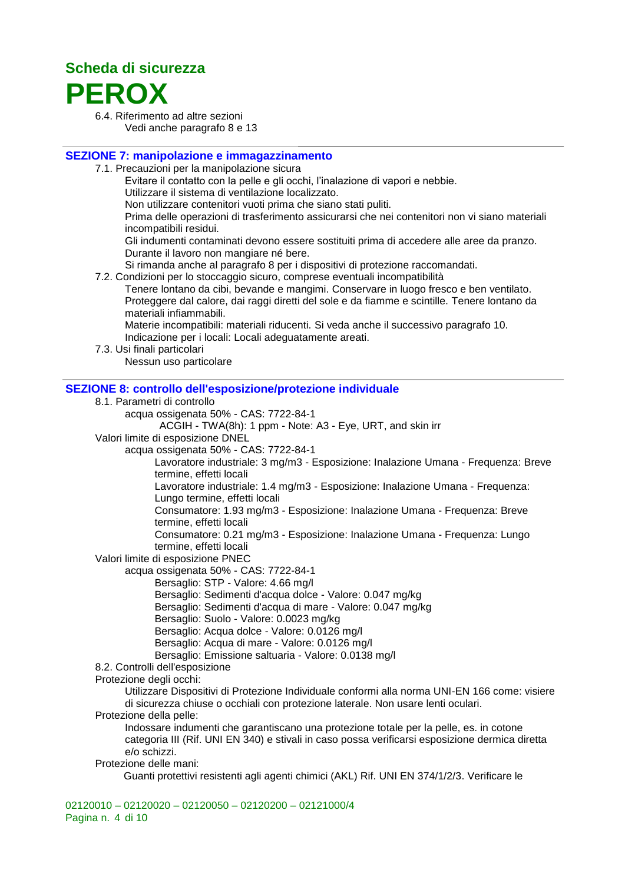

6.4. Riferimento ad altre sezioni Vedi anche paragrafo 8 e 13

#### **SEZIONE 7: manipolazione e immagazzinamento**

7.1. Precauzioni per la manipolazione sicura

Evitare il contatto con la pelle e gli occhi, l'inalazione di vapori e nebbie.

Utilizzare il sistema di ventilazione localizzato.

Non utilizzare contenitori vuoti prima che siano stati puliti.

Prima delle operazioni di trasferimento assicurarsi che nei contenitori non vi siano materiali incompatibili residui.

Gli indumenti contaminati devono essere sostituiti prima di accedere alle aree da pranzo. Durante il lavoro non mangiare né bere.

Si rimanda anche al paragrafo 8 per i dispositivi di protezione raccomandati.

7.2. Condizioni per lo stoccaggio sicuro, comprese eventuali incompatibilità

Tenere lontano da cibi, bevande e mangimi. Conservare in luogo fresco e ben ventilato. Proteggere dal calore, dai raggi diretti del sole e da fiamme e scintille. Tenere lontano da materiali infiammabili.

Materie incompatibili: materiali riducenti. Si veda anche il successivo paragrafo 10. Indicazione per i locali: Locali adeguatamente areati.

7.3. Usi finali particolari

Nessun uso particolare

#### **SEZIONE 8: controllo dell'esposizione/protezione individuale**

- 8.1. Parametri di controllo
	- acqua ossigenata 50% CAS: 7722-84-1

ACGIH - TWA(8h): 1 ppm - Note: A3 - Eye, URT, and skin irr

Valori limite di esposizione DNEL

acqua ossigenata 50% - CAS: 7722-84-1

Lavoratore industriale: 3 mg/m3 - Esposizione: Inalazione Umana - Frequenza: Breve termine, effetti locali

Lavoratore industriale: 1.4 mg/m3 - Esposizione: Inalazione Umana - Frequenza: Lungo termine, effetti locali

Consumatore: 1.93 mg/m3 - Esposizione: Inalazione Umana - Frequenza: Breve termine, effetti locali

Consumatore: 0.21 mg/m3 - Esposizione: Inalazione Umana - Frequenza: Lungo termine, effetti locali

Valori limite di esposizione PNEC

acqua ossigenata 50% - CAS: 7722-84-1

Bersaglio: STP - Valore: 4.66 mg/l

Bersaglio: Sedimenti d'acqua dolce - Valore: 0.047 mg/kg

- Bersaglio: Sedimenti d'acqua di mare Valore: 0.047 mg/kg
- Bersaglio: Suolo Valore: 0.0023 mg/kg
- Bersaglio: Acqua dolce Valore: 0.0126 mg/l
- Bersaglio: Acqua di mare Valore: 0.0126 mg/l

Bersaglio: Emissione saltuaria - Valore: 0.0138 mg/l

- 8.2. Controlli dell'esposizione
- Protezione degli occhi:

Utilizzare Dispositivi di Protezione Individuale conformi alla norma UNI-EN 166 come: visiere di sicurezza chiuse o occhiali con protezione laterale. Non usare lenti oculari.

Protezione della pelle:

Indossare indumenti che garantiscano una protezione totale per la pelle, es. in cotone categoria III (Rif. UNI EN 340) e stivali in caso possa verificarsi esposizione dermica diretta e/o schizzi.

Protezione delle mani:

Guanti protettivi resistenti agli agenti chimici (AKL) Rif. UNI EN 374/1/2/3. Verificare le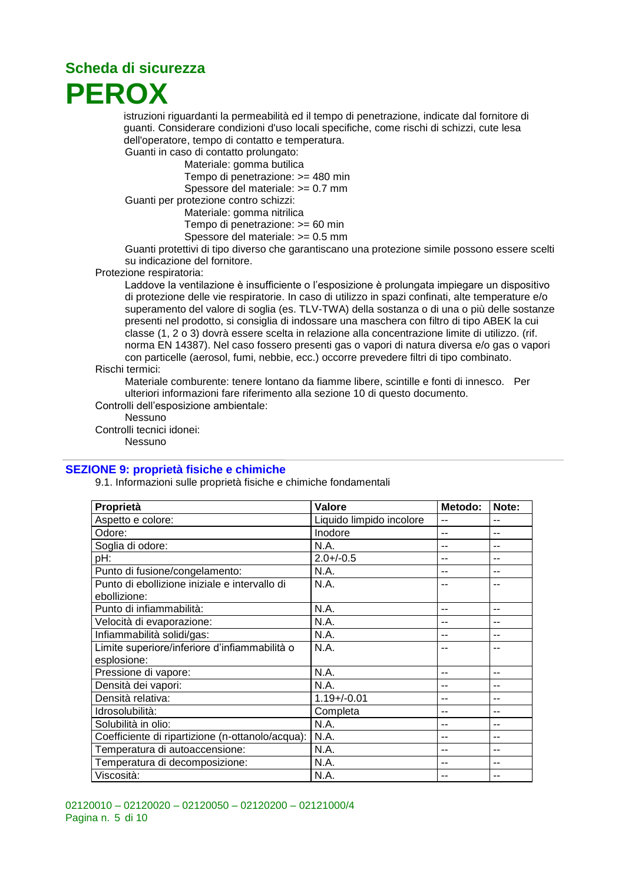## **Scheda di sicurezza PEROX**

istruzioni riguardanti la permeabilità ed il tempo di penetrazione, indicate dal fornitore di guanti. Considerare condizioni d'uso locali specifiche, come rischi di schizzi, cute lesa dell'operatore, tempo di contatto e temperatura.

Guanti in caso di contatto prolungato:

Materiale: gomma butilica Tempo di penetrazione: >= 480 min Spessore del materiale: >= 0.7 mm

Guanti per protezione contro schizzi:

Materiale: gomma nitrilica

Tempo di penetrazione: >= 60 min

Spessore del materiale: >= 0.5 mm

Guanti protettivi di tipo diverso che garantiscano una protezione simile possono essere scelti su indicazione del fornitore.

Protezione respiratoria:

Laddove la ventilazione è insufficiente o l'esposizione è prolungata impiegare un dispositivo di protezione delle vie respiratorie. In caso di utilizzo in spazi confinati, alte temperature e/o superamento del valore di soglia (es. TLV-TWA) della sostanza o di una o più delle sostanze presenti nel prodotto, si consiglia di indossare una maschera con filtro di tipo ABEK la cui classe (1, 2 o 3) dovrà essere scelta in relazione alla concentrazione limite di utilizzo. (rif. norma EN 14387). Nel caso fossero presenti gas o vapori di natura diversa e/o gas o vapori con particelle (aerosol, fumi, nebbie, ecc.) occorre prevedere filtri di tipo combinato.

#### Rischi termici:

Materiale comburente: tenere lontano da fiamme libere, scintille e fonti di innesco. Per ulteriori informazioni fare riferimento alla sezione 10 di questo documento.

Controlli dell'esposizione ambientale:

Nessuno

Controlli tecnici idonei:

Nessuno

#### **SEZIONE 9: proprietà fisiche e chimiche**

9.1. Informazioni sulle proprietà fisiche e chimiche fondamentali

| Proprietà                                        | <b>Valore</b>            | Metodo: | Note:          |
|--------------------------------------------------|--------------------------|---------|----------------|
| Aspetto e colore:                                | Liquido limpido incolore |         |                |
| Odore:                                           | Inodore                  |         | --             |
| Soglia di odore:                                 | N.A.                     | --      | $\overline{a}$ |
| pH:                                              | $2.0 + / -0.5$           | --      | --             |
| Punto di fusione/congelamento:                   | N.A.                     | --      | --             |
| Punto di ebollizione iniziale e intervallo di    | N.A.                     | --      | --             |
| ebollizione:                                     |                          |         |                |
| Punto di infiammabilità:                         | N.A.                     | --      | $-$            |
| Velocità di evaporazione:                        | N.A.                     | --      | --             |
| Infiammabilità solidi/gas:                       | N.A.                     |         | --             |
| Limite superiore/inferiore d'infiammabilità o    | N.A.                     | --      | --             |
| esplosione:                                      |                          |         |                |
| Pressione di vapore:                             | N.A.                     | --      | --             |
| Densità dei vapori:                              | N.A.                     | --      | --             |
| Densità relativa:                                | $1.19 + / -0.01$         | --      | --             |
| Idrosolubilità:                                  | Completa                 | --      | $-$            |
| Solubilità in olio:                              | N.A.                     |         | --             |
| Coefficiente di ripartizione (n-ottanolo/acqua): | N.A.                     |         | --             |
| Temperatura di autoaccensione:                   | N.A.                     | --      | $\overline{a}$ |
| Temperatura di decomposizione:                   | N.A.                     | --      | --             |
| Viscosità:                                       | N.A.                     | --      | $-$            |

02120010 – 02120020 – 02120050 – 02120200 – 02121000/4 Pagina n. 5 di 10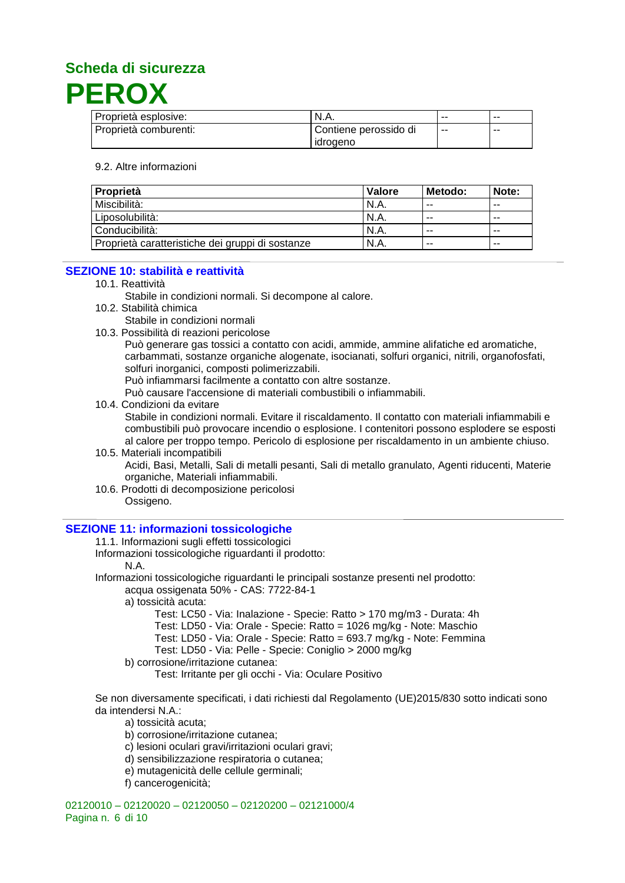

| Proprietà esplosive:  | N.A.                  | $- -$ | -- |
|-----------------------|-----------------------|-------|----|
| Proprietà comburenti: | Contiene perossido di | $-$   | -- |
|                       | idrogeno              |       |    |

#### 9.2. Altre informazioni

| Proprietà                                        | Valore | Metodo: | Note: |
|--------------------------------------------------|--------|---------|-------|
| Miscibilità:                                     | N.A.   | $- -$   | $- -$ |
| Liposolubilità:                                  | N.A.   | $- -$   | $- -$ |
| Conducibilità:                                   | N.A.   | $- -$   | $- -$ |
| Proprietà caratteristiche dei gruppi di sostanze | N.A.   | $- -$   | $- -$ |

#### **SEZIONE 10: stabilità e reattività**

10.1. Reattività

Stabile in condizioni normali. Si decompone al calore.

10.2. Stabilità chimica

Stabile in condizioni normali

10.3. Possibilità di reazioni pericolose

Può generare gas tossici a contatto con acidi, ammide, ammine alifatiche ed aromatiche, carbammati, sostanze organiche alogenate, isocianati, solfuri organici, nitrili, organofosfati, solfuri inorganici, composti polimerizzabili.

Può infiammarsi facilmente a contatto con altre sostanze.

Può causare l'accensione di materiali combustibili o infiammabili.

- 10.4. Condizioni da evitare Stabile in condizioni normali. Evitare il riscaldamento. Il contatto con materiali infiammabili e combustibili può provocare incendio o esplosione. I contenitori possono esplodere se esposti al calore per troppo tempo. Pericolo di esplosione per riscaldamento in un ambiente chiuso.
- 10.5. Materiali incompatibili Acidi, Basi, Metalli, Sali di metalli pesanti, Sali di metallo granulato, Agenti riducenti, Materie organiche, Materiali infiammabili.
- 10.6. Prodotti di decomposizione pericolosi Ossigeno.

#### **SEZIONE 11: informazioni tossicologiche**

- 11.1. Informazioni sugli effetti tossicologici
- Informazioni tossicologiche riguardanti il prodotto:

#### N.A.

- Informazioni tossicologiche riguardanti le principali sostanze presenti nel prodotto: acqua ossigenata 50% - CAS: 7722-84-1
	- a) tossicità acuta:
		- Test: LC50 Via: Inalazione Specie: Ratto > 170 mg/m3 Durata: 4h

Test: LD50 - Via: Orale - Specie: Ratto = 1026 mg/kg - Note: Maschio

- Test: LD50 Via: Orale Specie: Ratto = 693.7 mg/kg Note: Femmina
- Test: LD50 Via: Pelle Specie: Coniglio > 2000 mg/kg

b) corrosione/irritazione cutanea:

Test: Irritante per gli occhi - Via: Oculare Positivo

Se non diversamente specificati, i dati richiesti dal Regolamento (UE)2015/830 sotto indicati sono da intendersi N.A.:

- a) tossicità acuta;
- b) corrosione/irritazione cutanea;
- c) lesioni oculari gravi/irritazioni oculari gravi;
- d) sensibilizzazione respiratoria o cutanea;
- e) mutagenicità delle cellule germinali;
- f) cancerogenicità;

02120010 – 02120020 – 02120050 – 02120200 – 02121000/4 Pagina n. 6 di 10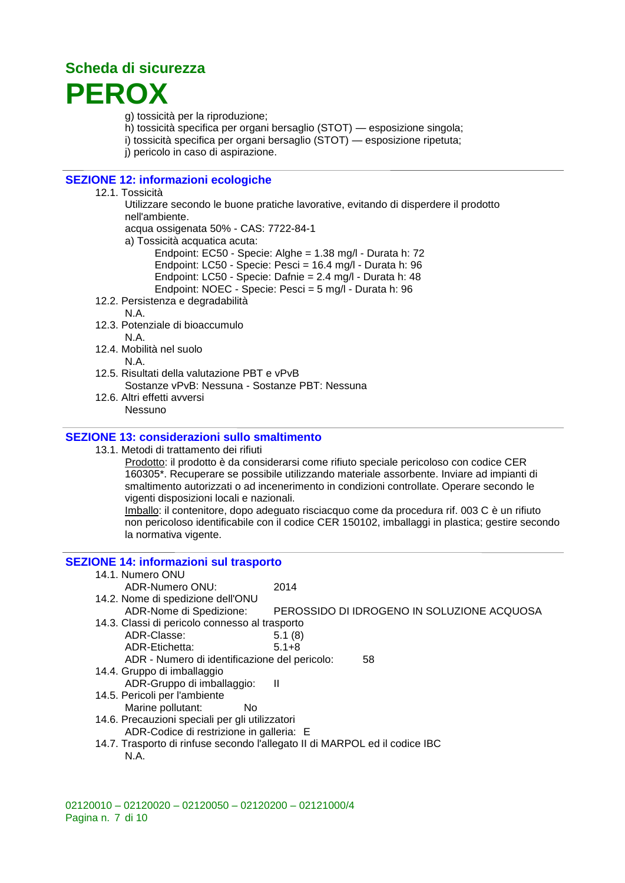## **Scheda di sicurezza PEROX**

g) tossicità per la riproduzione;

- h) tossicità specifica per organi bersaglio (STOT) esposizione singola;
- i) tossicità specifica per organi bersaglio (STOT) esposizione ripetuta;
- j) pericolo in caso di aspirazione.

### **SEZIONE 12: informazioni ecologiche**

#### 12.1. Tossicità

Utilizzare secondo le buone pratiche lavorative, evitando di disperdere il prodotto nell'ambiente. acqua ossigenata 50% - CAS: 7722-84-1 a) Tossicità acquatica acuta:

Endpoint: EC50 - Specie: Alghe = 1.38 mg/l - Durata h: 72 Endpoint: LC50 - Specie: Pesci = 16.4 mg/l - Durata h: 96 Endpoint: LC50 - Specie: Dafnie = 2.4 mg/l - Durata h: 48 Endpoint: NOEC - Specie: Pesci = 5 mg/l - Durata h: 96

12.2. Persistenza e degradabilità

N.A.

- 12.3. Potenziale di bioaccumulo N.A.
- 12.4. Mobilità nel suolo N.A.
- 12.5. Risultati della valutazione PBT e vPvB Sostanze vPvB: Nessuna - Sostanze PBT: Nessuna
- 12.6. Altri effetti avversi Nessuno

### **SEZIONE 13: considerazioni sullo smaltimento**

13.1. Metodi di trattamento dei rifiuti

Prodotto: il prodotto è da considerarsi come rifiuto speciale pericoloso con codice CER 160305\*. Recuperare se possibile utilizzando materiale assorbente. Inviare ad impianti di smaltimento autorizzati o ad incenerimento in condizioni controllate. Operare secondo le vigenti disposizioni locali e nazionali.

Imballo: il contenitore, dopo adeguato risciacquo come da procedura rif. 003 C è un rifiuto non pericoloso identificabile con il codice CER 150102, imballaggi in plastica; gestire secondo la normativa vigente.

### **SEZIONE 14: informazioni sul trasporto**

- 14.1. Numero ONU ADR-Numero ONU: 2014
- 14.2. Nome di spedizione dell'ONU ADR-Nome di Spedizione: PEROSSIDO DI IDROGENO IN SOLUZIONE ACQUOSA
- 14.3. Classi di pericolo connesso al trasporto ADR-Classe: 5.1 (8) ADR-Etichetta: 5.1+8
	- ADR Numero di identificazione del pericolo: 58
- 14.4. Gruppo di imballaggio
- ADR-Gruppo di imballaggio: Il
- 14.5. Pericoli per l'ambiente
	- Marine pollutant: No
- 14.6. Precauzioni speciali per gli utilizzatori ADR-Codice di restrizione in galleria: E
- 14.7. Trasporto di rinfuse secondo l'allegato II di MARPOL ed il codice IBC N.A.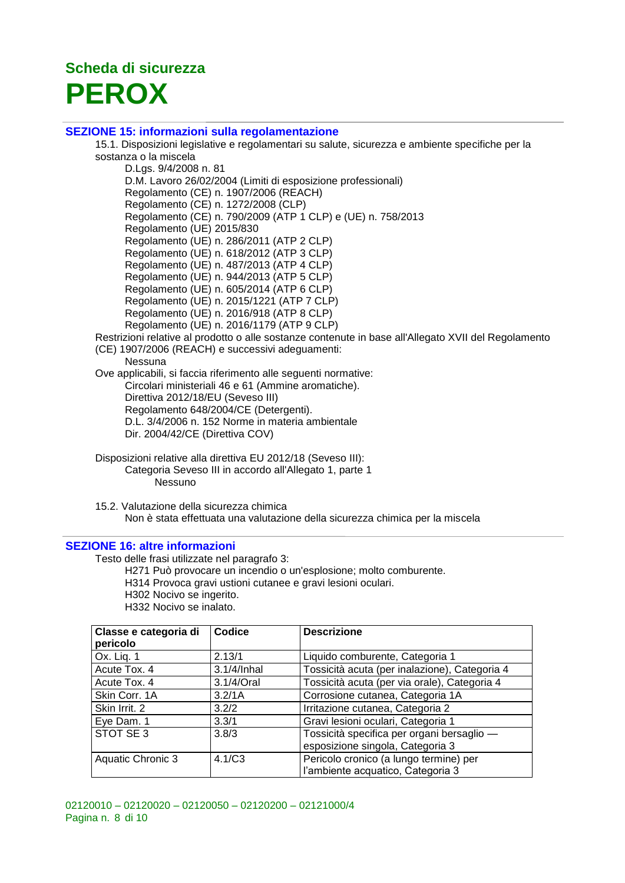## **Scheda di sicurezza PEROX**

#### **SEZIONE 15: informazioni sulla regolamentazione**

15.1. Disposizioni legislative e regolamentari su salute, sicurezza e ambiente specifiche per la sostanza o la miscela

D.Lgs. 9/4/2008 n. 81 D.M. Lavoro 26/02/2004 (Limiti di esposizione professionali) Regolamento (CE) n. 1907/2006 (REACH) Regolamento (CE) n. 1272/2008 (CLP) Regolamento (CE) n. 790/2009 (ATP 1 CLP) e (UE) n. 758/2013 Regolamento (UE) 2015/830 Regolamento (UE) n. 286/2011 (ATP 2 CLP) Regolamento (UE) n. 618/2012 (ATP 3 CLP) Regolamento (UE) n. 487/2013 (ATP 4 CLP) Regolamento (UE) n. 944/2013 (ATP 5 CLP) Regolamento (UE) n. 605/2014 (ATP 6 CLP) Regolamento (UE) n. 2015/1221 (ATP 7 CLP) Regolamento (UE) n. 2016/918 (ATP 8 CLP) Regolamento (UE) n. 2016/1179 (ATP 9 CLP) Restrizioni relative al prodotto o alle sostanze contenute in base all'Allegato XVII del Regolamento (CE) 1907/2006 (REACH) e successivi adeguamenti: Nessuna Ove applicabili, si faccia riferimento alle seguenti normative: Circolari ministeriali 46 e 61 (Ammine aromatiche). Direttiva 2012/18/EU (Seveso III) Regolamento 648/2004/CE (Detergenti). D.L. 3/4/2006 n. 152 Norme in materia ambientale Dir. 2004/42/CE (Direttiva COV)

- Disposizioni relative alla direttiva EU 2012/18 (Seveso III): Categoria Seveso III in accordo all'Allegato 1, parte 1 Nessuno
- 15.2. Valutazione della sicurezza chimica Non è stata effettuata una valutazione della sicurezza chimica per la miscela

#### **SEZIONE 16: altre informazioni**

Testo delle frasi utilizzate nel paragrafo 3:

H271 Può provocare un incendio o un'esplosione; molto comburente. H314 Provoca gravi ustioni cutanee e gravi lesioni oculari. H302 Nocivo se ingerito.

H332 Nocivo se inalato.

| Classe e categoria di<br>pericolo | Codice      | <b>Descrizione</b>                                                             |
|-----------------------------------|-------------|--------------------------------------------------------------------------------|
| Ox. Lig. 1                        | 2.13/1      | Liquido comburente, Categoria 1                                                |
| Acute Tox. 4                      | 3.1/4/Inhal | Tossicità acuta (per inalazione), Categoria 4                                  |
| Acute Tox. 4                      | 3.1/4/Oral  | Tossicità acuta (per via orale), Categoria 4                                   |
| Skin Corr. 1A                     | 3.2/1A      | Corrosione cutanea, Categoria 1A                                               |
| Skin Irrit. 2                     | 3.2/2       | Irritazione cutanea, Categoria 2                                               |
| Eye Dam. 1                        | 3.3/1       | Gravi lesioni oculari, Categoria 1                                             |
| STOT SE 3                         | 3.8/3       | Tossicità specifica per organi bersaglio -<br>esposizione singola, Categoria 3 |
| Aquatic Chronic 3                 | 4.1/C3      | Pericolo cronico (a lungo termine) per<br>l'ambiente acquatico, Categoria 3    |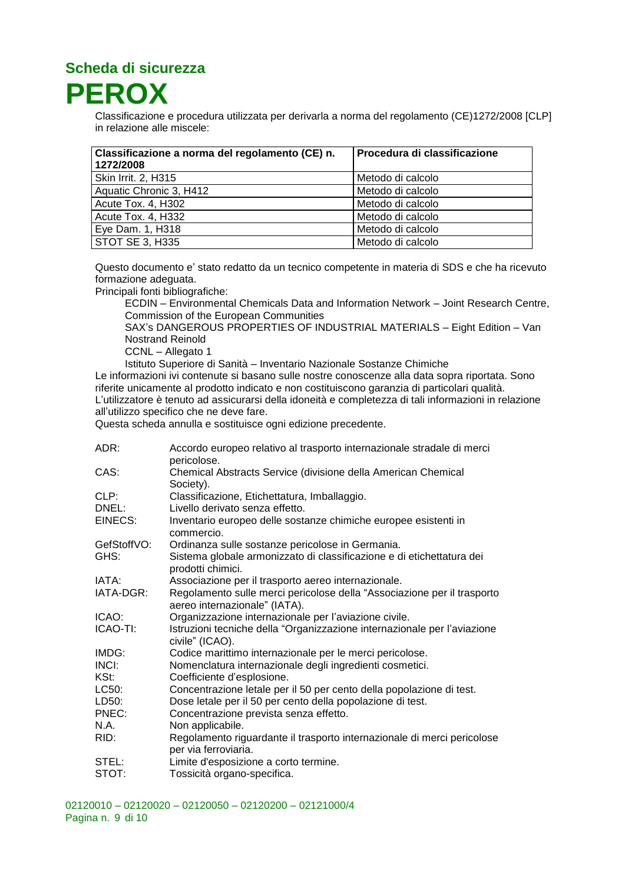**PEROX**

Classificazione e procedura utilizzata per derivarla a norma del regolamento (CE)1272/2008 [CLP] in relazione alle miscele:

| Classificazione a norma del regolamento (CE) n.<br>1272/2008 | Procedura di classificazione |
|--------------------------------------------------------------|------------------------------|
| Skin Irrit. 2, H315                                          | Metodo di calcolo            |
| Aquatic Chronic 3, H412                                      | Metodo di calcolo            |
| Acute Tox. 4, H302                                           | Metodo di calcolo            |
| Acute Tox. 4, H332                                           | Metodo di calcolo            |
| Eye Dam. 1, H318                                             | Metodo di calcolo            |
| STOT SE 3, H335                                              | Metodo di calcolo            |

Questo documento e' stato redatto da un tecnico competente in materia di SDS e che ha ricevuto formazione adeguata.

Principali fonti bibliografiche:

ECDIN – Environmental Chemicals Data and Information Network – Joint Research Centre, Commission of the European Communities

SAX's DANGEROUS PROPERTIES OF INDUSTRIAL MATERIALS – Eight Edition – Van Nostrand Reinold

CCNL – Allegato 1

Istituto Superiore di Sanità – Inventario Nazionale Sostanze Chimiche

Le informazioni ivi contenute si basano sulle nostre conoscenze alla data sopra riportata. Sono riferite unicamente al prodotto indicato e non costituiscono garanzia di particolari qualità. L'utilizzatore è tenuto ad assicurarsi della idoneità e completezza di tali informazioni in relazione all'utilizzo specifico che ne deve fare.

Questa scheda annulla e sostituisce ogni edizione precedente.

| Accordo europeo relativo al trasporto internazionale stradale di merci<br>pericolose.                    |
|----------------------------------------------------------------------------------------------------------|
| Chemical Abstracts Service (divisione della American Chemical<br>Society).                               |
| Classificazione, Etichettatura, Imballaggio.                                                             |
| Livello derivato senza effetto.                                                                          |
| Inventario europeo delle sostanze chimiche europee esistenti in<br>commercio.                            |
| Ordinanza sulle sostanze pericolose in Germania.                                                         |
| Sistema globale armonizzato di classificazione e di etichettatura dei<br>prodotti chimici.               |
| Associazione per il trasporto aereo internazionale.                                                      |
| Regolamento sulle merci pericolose della "Associazione per il trasporto<br>aereo internazionale" (IATA). |
| Organizzazione internazionale per l'aviazione civile.                                                    |
| Istruzioni tecniche della "Organizzazione internazionale per l'aviazione<br>civile" (ICAO).              |
| Codice marittimo internazionale per le merci pericolose.                                                 |
| Nomenclatura internazionale degli ingredienti cosmetici.                                                 |
| Coefficiente d'esplosione.                                                                               |
| Concentrazione letale per il 50 per cento della popolazione di test.                                     |
| Dose letale per il 50 per cento della popolazione di test.                                               |
| Concentrazione prevista senza effetto.                                                                   |
| Non applicabile.                                                                                         |
| Regolamento riguardante il trasporto internazionale di merci pericolose<br>per via ferroviaria.          |
| Limite d'esposizione a corto termine.                                                                    |
| Tossicità organo-specifica.                                                                              |
|                                                                                                          |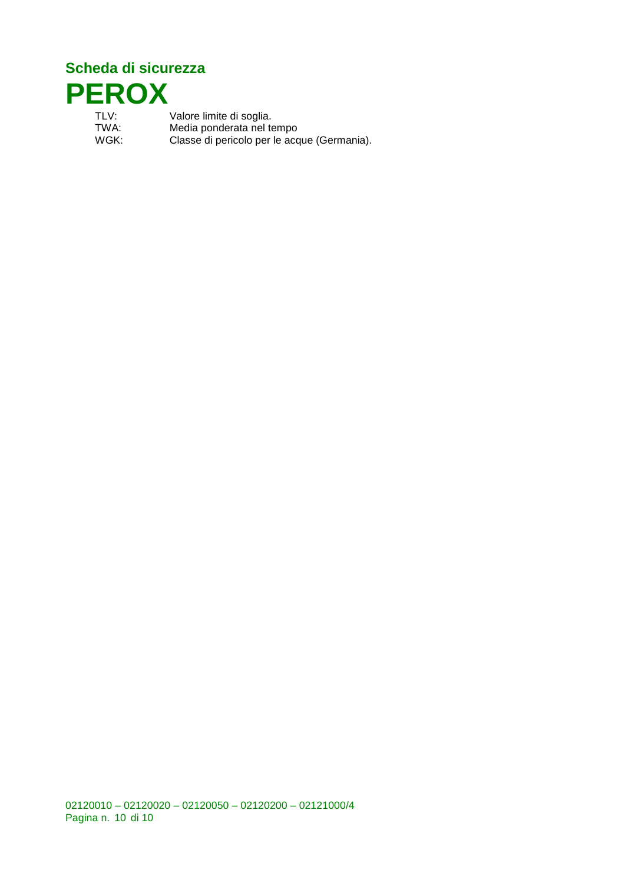

TLV: Valore limite di soglia.<br>TWA: Media ponderata nel to TWA: Media ponderata nel tempo<br>WGK: Classe di pericolo per le acc Classe di pericolo per le acque (Germania).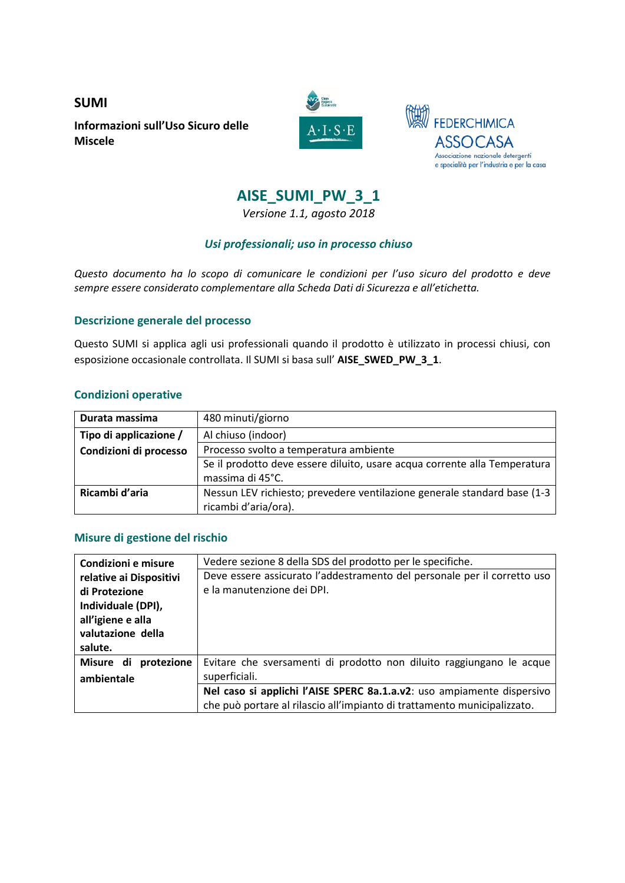**SUMI Informazioni sull'Uso Sicuro delle Miscele**





### **AISE\_SUMI\_PW\_3\_1**

*Versione 1.1, agosto 2018*

#### *Usi professionali; uso in processo chiuso*

*Questo documento ha lo scopo di comunicare le condizioni per l'uso sicuro del prodotto e deve sempre essere considerato complementare alla Scheda Dati di Sicurezza e all'etichetta.* 

#### **Descrizione generale del processo**

Questo SUMI si applica agli usi professionali quando il prodotto è utilizzato in processi chiusi, con esposizione occasionale controllata. Il SUMI si basa sull' **AISE\_SWED\_PW\_3\_1**.

#### **Condizioni operative**

| Durata massima         | 480 minuti/giorno                                                         |  |
|------------------------|---------------------------------------------------------------------------|--|
| Tipo di applicazione / | Al chiuso (indoor)                                                        |  |
| Condizioni di processo | Processo svolto a temperatura ambiente                                    |  |
|                        | Se il prodotto deve essere diluito, usare acqua corrente alla Temperatura |  |
|                        | massima di 45°C.                                                          |  |
| Ricambi d'aria         | Nessun LEV richiesto; prevedere ventilazione generale standard base (1-3  |  |
|                        | ricambi d'aria/ora).                                                      |  |

#### **Misure di gestione del rischio**

| Condizioni e misure     | Vedere sezione 8 della SDS del prodotto per le specifiche.               |
|-------------------------|--------------------------------------------------------------------------|
| relative ai Dispositivi | Deve essere assicurato l'addestramento del personale per il corretto uso |
| di Protezione           | e la manutenzione dei DPI.                                               |
| Individuale (DPI),      |                                                                          |
| all'igiene e alla       |                                                                          |
| valutazione della       |                                                                          |
| salute.                 |                                                                          |
| Misure di<br>protezione | Evitare che sversamenti di prodotto non diluito raggiungano le acque     |
| ambientale              | superficiali.                                                            |
|                         | Nel caso si applichi l'AISE SPERC 8a.1.a.v2: uso ampiamente dispersivo   |
|                         | che può portare al rilascio all'impianto di trattamento municipalizzato. |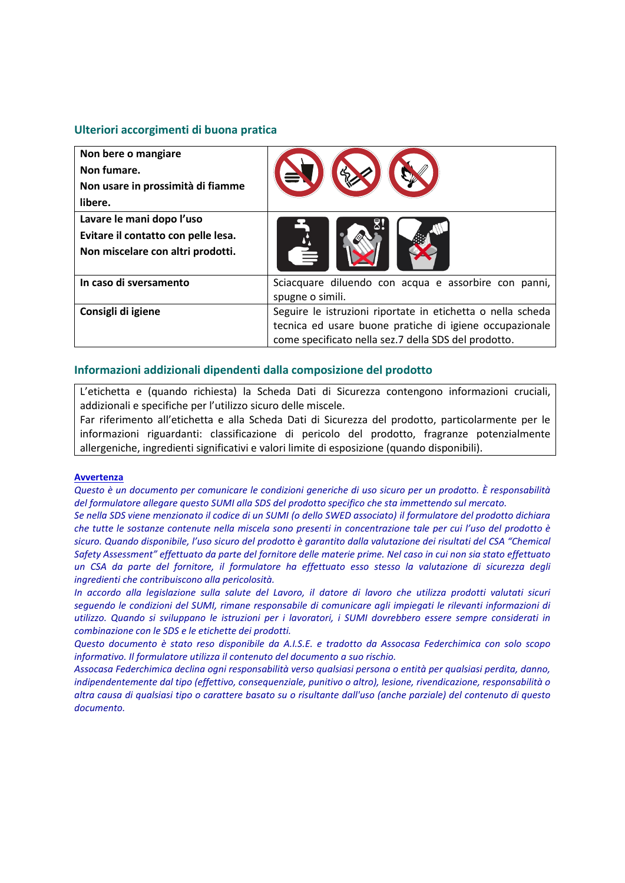#### **Ulteriori accorgimenti di buona pratica**

| Non bere o mangiare<br>Non fumare.<br>Non usare in prossimità di fiamme<br>libere.                    |                                                                                                                                                                                |
|-------------------------------------------------------------------------------------------------------|--------------------------------------------------------------------------------------------------------------------------------------------------------------------------------|
| Lavare le mani dopo l'uso<br>Evitare il contatto con pelle lesa.<br>Non miscelare con altri prodotti. |                                                                                                                                                                                |
| In caso di sversamento                                                                                | Sciacquare diluendo con acqua e assorbire con panni,<br>spugne o simili.                                                                                                       |
| Consigli di igiene                                                                                    | Seguire le istruzioni riportate in etichetta o nella scheda<br>tecnica ed usare buone pratiche di igiene occupazionale<br>come specificato nella sez.7 della SDS del prodotto. |

#### **Informazioni addizionali dipendenti dalla composizione del prodotto**

L'etichetta e (quando richiesta) la Scheda Dati di Sicurezza contengono informazioni cruciali, addizionali e specifiche per l'utilizzo sicuro delle miscele.

Far riferimento all'etichetta e alla Scheda Dati di Sicurezza del prodotto, particolarmente per le informazioni riguardanti: classificazione di pericolo del prodotto, fragranze potenzialmente allergeniche, ingredienti significativi e valori limite di esposizione (quando disponibili).

#### **Avvertenza**

*Questo è un documento per comunicare le condizioni generiche di uso sicuro per un prodotto. È responsabilità del formulatore allegare questo SUMI alla SDS del prodotto specifico che sta immettendo sul mercato.* 

*Se nella SDS viene menzionato il codice di un SUMI (o dello SWED associato) il formulatore del prodotto dichiara che tutte le sostanze contenute nella miscela sono presenti in concentrazione tale per cui l'uso del prodotto è sicuro. Quando disponibile, l'uso sicuro del prodotto è garantito dalla valutazione dei risultati del CSA "Chemical Safety Assessment" effettuato da parte del fornitore delle materie prime. Nel caso in cui non sia stato effettuato un CSA da parte del fornitore, il formulatore ha effettuato esso stesso la valutazione di sicurezza degli ingredienti che contribuiscono alla pericolosità.*

*In accordo alla legislazione sulla salute del Lavoro, il datore di lavoro che utilizza prodotti valutati sicuri seguendo le condizioni del SUMI, rimane responsabile di comunicare agli impiegati le rilevanti informazioni di utilizzo. Quando si sviluppano le istruzioni per i lavoratori, i SUMI dovrebbero essere sempre considerati in combinazione con le SDS e le etichette dei prodotti.* 

*Questo documento è stato reso disponibile da A.I.S.E. e tradotto da Assocasa Federchimica con solo scopo informativo. Il formulatore utilizza il contenuto del documento a suo rischio.*

*Assocasa Federchimica declina ogni responsabilità verso qualsiasi persona o entità per qualsiasi perdita, danno, indipendentemente dal tipo (effettivo, consequenziale, punitivo o altro), lesione, rivendicazione, responsabilità o altra causa di qualsiasi tipo o carattere basato su o risultante dall'uso (anche parziale) del contenuto di questo documento.*